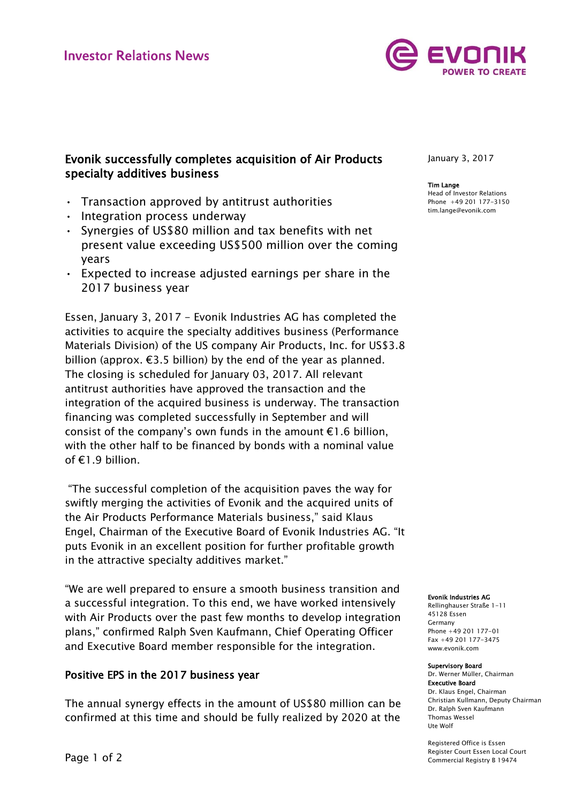

# Evonik successfully completes acquisition of Air Products specialty additives business

- Transaction approved by antitrust authorities
- Integration process underway
- Synergies of US\$80 million and tax benefits with net present value exceeding US\$500 million over the coming years
- Expected to increase adjusted earnings per share in the 2017 business year

Essen, January 3, 2017 - Evonik Industries AG has completed the activities to acquire the specialty additives business (Performance Materials Division) of the US company Air Products, Inc. for US\$3.8 billion (approx.  $\epsilon$ 3.5 billion) by the end of the year as planned. The closing is scheduled for January 03, 2017. All relevant antitrust authorities have approved the transaction and the integration of the acquired business is underway. The transaction financing was completed successfully in September and will consist of the company's own funds in the amount  $E1.6$  billion, with the other half to be financed by bonds with a nominal value of €1.9 billion.

"The successful completion of the acquisition paves the way for swiftly merging the activities of Evonik and the acquired units of the Air Products Performance Materials business," said Klaus Engel, Chairman of the Executive Board of Evonik Industries AG. "It puts Evonik in an excellent position for further profitable growth in the attractive specialty additives market."

"We are well prepared to ensure a smooth business transition and a successful integration. To this end, we have worked intensively with Air Products over the past few months to develop integration plans," confirmed Ralph Sven Kaufmann, Chief Operating Officer and Executive Board member responsible for the integration.

## Positive EPS in the 2017 business year

The annual synergy effects in the amount of US\$80 million can be confirmed at this time and should be fully realized by 2020 at the

January 3, 2017

#### Tim Lange

Head of Investor Relations Phone +49 201 177-3150 tim.lange@evonik.com

#### Evonik Industries AG

Rellinghauser Straße 1-11 45128 Essen Germany Phone +49 201 177-01 Fax +49 201 177-3475 www.evonik.com

#### Supervisory Board

Dr. Werner Müller, Chairman Executive Board Dr. Klaus Engel, Chairman Christian Kullmann, Deputy Chairman Dr. Ralph Sven Kaufmann Thomas Wessel Ute Wolf

Registered Office is Essen Register Court Essen Local Court Commercial Registry B 19474